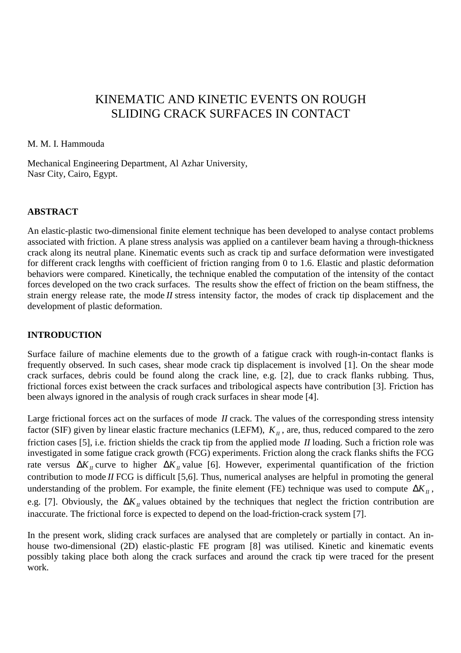# KINEMATIC AND KINETIC EVENTS ON ROUGH SLIDING CRACK SURFACES IN CONTACT

### M. M. I. Hammouda

Mechanical Engineering Department, Al Azhar University, Nasr City, Cairo, Egypt.

## **ABSTRACT**

An elastic-plastic two-dimensional finite element technique has been developed to analyse contact problems associated with friction. A plane stress analysis was applied on a cantilever beam having a through-thickness crack along its neutral plane. Kinematic events such as crack tip and surface deformation were investigated for different crack lengths with coefficient of friction ranging from 0 to 1.6. Elastic and plastic deformation behaviors were compared. Kinetically, the technique enabled the computation of the intensity of the contact forces developed on the two crack surfaces. The results show the effect of friction on the beam stiffness, the strain energy release rate, the mode *II* stress intensity factor, the modes of crack tip displacement and the development of plastic deformation.

## **INTRODUCTION**

Surface failure of machine elements due to the growth of a fatigue crack with rough-in-contact flanks is frequently observed. In such cases, shear mode crack tip displacement is involved [1]. On the shear mode crack surfaces, debris could be found along the crack line, e.g. [2], due to crack flanks rubbing. Thus, frictional forces exist between the crack surfaces and tribological aspects have contribution [3]. Friction has been always ignored in the analysis of rough crack surfaces in shear mode [4].

Large frictional forces act on the surfaces of mode *II* crack. The values of the corresponding stress intensity factor (SIF) given by linear elastic fracture mechanics (LEFM),  $K<sub>II</sub>$ , are, thus, reduced compared to the zero friction cases [5], i.e. friction shields the crack tip from the applied mode *II* loading. Such a friction role was investigated in some fatigue crack growth (FCG) experiments. Friction along the crack flanks shifts the FCG rate versus  $\Delta K_{II}$  curve to higher  $\Delta K_{II}$  value [6]. However, experimental quantification of the friction contribution to mode *II* FCG is difficult [5,6]. Thus, numerical analyses are helpful in promoting the general understanding of the problem. For example, the finite element (FE) technique was used to compute  $\Delta K_{II}$ , e.g. [7]. Obviously, the ∆*K<sub>II</sub>* values obtained by the techniques that neglect the friction contribution are inaccurate. The frictional force is expected to depend on the load-friction-crack system [7].

In the present work, sliding crack surfaces are analysed that are completely or partially in contact. An inhouse two-dimensional (2D) elastic-plastic FE program [8] was utilised. Kinetic and kinematic events possibly taking place both along the crack surfaces and around the crack tip were traced for the present work.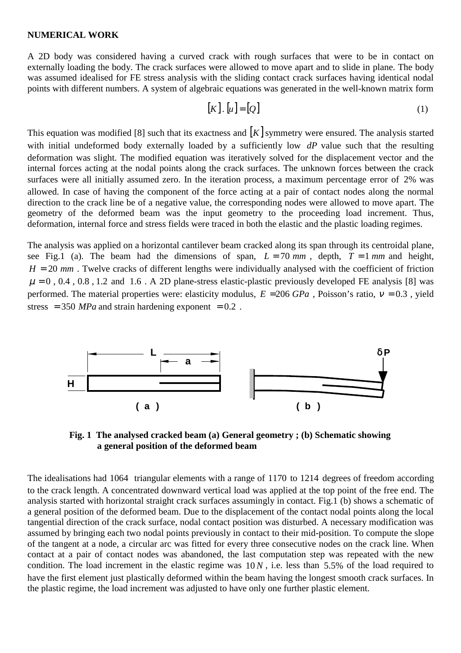#### **NUMERICAL WORK**

A 2D body was considered having a curved crack with rough surfaces that were to be in contact on externally loading the body. The crack surfaces were allowed to move apart and to slide in plane. The body was assumed idealised for FE stress analysis with the sliding contact crack surfaces having identical nodal points with different numbers. A system of algebraic equations was generated in the well-known matrix form

$$
[K] \cdot [u] = [Q] \tag{1}
$$

This equation was modified [8] such that its exactness and  $[K]$  symmetry were ensured. The analysis started with initial undeformed body externally loaded by a sufficiently low *dP* value such that the resulting deformation was slight. The modified equation was iteratively solved for the displacement vector and the internal forces acting at the nodal points along the crack surfaces. The unknown forces between the crack surfaces were all initially assumed zero. In the iteration process, a maximum percentage error of 2% was allowed. In case of having the component of the force acting at a pair of contact nodes along the normal direction to the crack line be of a negative value, the corresponding nodes were allowed to move apart. The geometry of the deformed beam was the input geometry to the proceeding load increment. Thus, deformation, internal force and stress fields were traced in both the elastic and the plastic loading regimes.

The analysis was applied on a horizontal cantilever beam cracked along its span through its centroidal plane, see Fig.1 (a). The beam had the dimensions of span,  $L = 70$  mm, depth,  $T = 1$  mm and height,  $H = 20$  *mm*. Twelve cracks of different lengths were individually analysed with the coefficient of friction  $\mu = 0$ , 0.4, 0.8, 1.2 and 1.6. A 2D plane-stress elastic-plastic previously developed FE analysis [8] was performed. The material properties were: elasticity modulus,  $E = 206 GPa$ , Poisson's ratio,  $v = 0.3$ , yield stress  $= 350$  *MPa* and strain hardening exponent  $= 0.2$ .



 **Fig. 1 The analysed cracked beam (a) General geometry ; (b) Schematic showing a general position of the deformed beam**

The idealisations had 1064 triangular elements with a range of 1170 to 1214 degrees of freedom according to the crack length. A concentrated downward vertical load was applied at the top point of the free end. The analysis started with horizontal straight crack surfaces assumingly in contact. Fig.1 (b) shows a schematic of a general position of the deformed beam. Due to the displacement of the contact nodal points along the local tangential direction of the crack surface, nodal contact position was disturbed. A necessary modification was assumed by bringing each two nodal points previously in contact to their mid-position. To compute the slope of the tangent at a node, a circular arc was fitted for every three consecutive nodes on the crack line. When contact at a pair of contact nodes was abandoned, the last computation step was repeated with the new condition. The load increment in the elastic regime was  $10 N$ , i.e. less than 5.5% of the load required to have the first element just plastically deformed within the beam having the longest smooth crack surfaces. In the plastic regime, the load increment was adjusted to have only one further plastic element.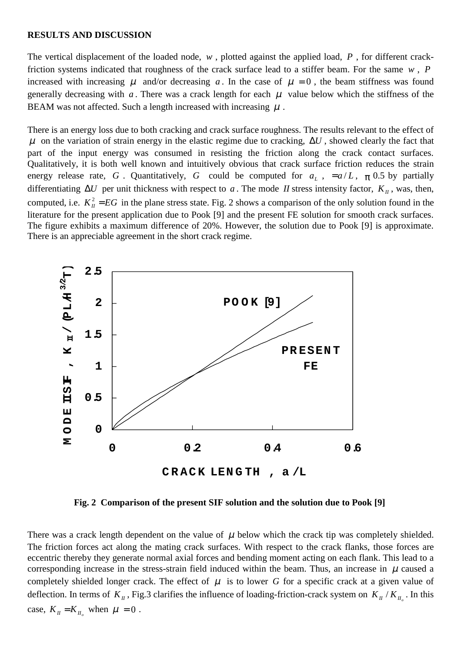#### **RESULTS AND DISCUSSION**

The vertical displacement of the loaded node, *w* , plotted against the applied load, *P* , for different crackfriction systems indicated that roughness of the crack surface lead to a stiffer beam. For the same *w* , *P* increased with increasing  $\mu$  and/or decreasing a. In the case of  $\mu = 0$ , the beam stiffness was found generally decreasing with *a*. There was a crack length for each  $\mu$  value below which the stiffness of the BEAM was not affected. Such a length increased with increasing  $\mu$ .

There is an energy loss due to both cracking and crack surface roughness. The results relevant to the effect of  $\mu$  on the variation of strain energy in the elastic regime due to cracking,  $\Delta U$ , showed clearly the fact that part of the input energy was consumed in resisting the friction along the crack contact surfaces. Qualitatively, it is both well known and intuitively obvious that crack surface friction reduces the strain energy release rate, *G*. Quantitatively, *G* could be computed for  $a_L$ ,  $=a/L$ ,  $\pi$  0.5 by partially differentiating  $\Delta U$  per unit thickness with respect to *a*. The mode *II* stress intensity factor,  $K_{II}$ , was, then, computed, i.e.  $K_{II}^2 = EG$  in the plane stress state. Fig. 2 shows a comparison of the only solution found in the literature for the present application due to Pook [9] and the present FE solution for smooth crack surfaces. The figure exhibits a maximum difference of 20%. However, the solution due to Pook [9] is approximate. There is an appreciable agreement in the short crack regime.



**Fig. 2 Comparison of the present SIF solution and the solution due to Pook [9]**

There was a crack length dependent on the value of  $\mu$  below which the crack tip was completely shielded. The friction forces act along the mating crack surfaces. With respect to the crack flanks, those forces are eccentric thereby they generate normal axial forces and bending moment acting on each flank. This lead to a corresponding increase in the stress-strain field induced within the beam. Thus, an increase in  $\mu$  caused a completely shielded longer crack. The effect of  $\mu$  is to lower *G* for a specific crack at a given value of deflection. In terms of  $K_{II}$ , Fig.3 clarifies the influence of loading-friction-crack system on  $K_{II}/K_{II}$ . In this case,  $K_{II} = K_{II}$  when  $\mu = 0$ .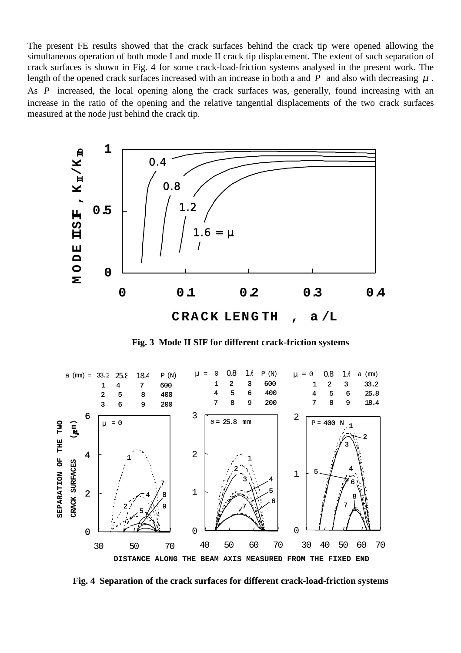The present FE results showed that the crack surfaces behind the crack tip were opened allowing the simultaneous operation of both mode I and mode II crack tip displacement. The extent of such separation of crack surfaces is shown in Fig. 4 for some crack-load-friction systems analysed in the present work. The length of the opened crack surfaces increased with an increase in both a and  $P$  and also with decreasing  $\mu$ . As *P* increased, the local opening along the crack surfaces was, generally, found increasing with an increase in the ratio of the opening and the relative tangential displacements of the two crack surfaces measured at the node just behind the crack tip.



 **Fig. 3 Mode II SIF for different crack-friction systems**



**Fig. 4 Separation of the crack surfaces for different crack-load-friction systems**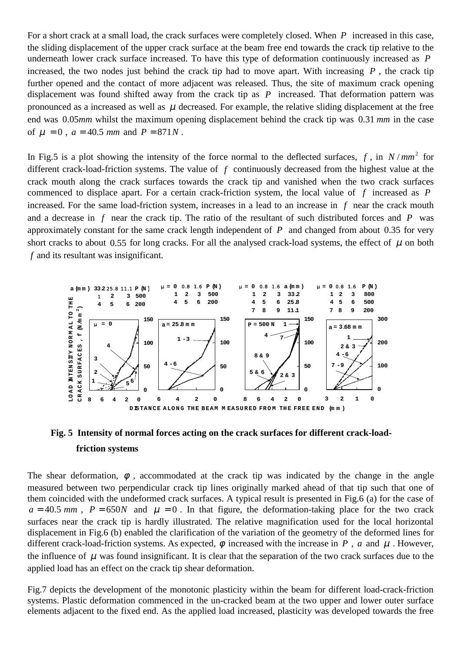For a short crack at a small load, the crack surfaces were completely closed. When *P* increased in this case, the sliding displacement of the upper crack surface at the beam free end towards the crack tip relative to the underneath lower crack surface increased. To have this type of deformation continuously increased as *P* increased, the two nodes just behind the crack tip had to move apart. With increasing *, the crack tip* further opened and the contact of more adjacent was released. Thus, the site of maximum crack opening displacement was found shifted away from the crack tip as *P* increased. That deformation pattern was pronounced as a increased as well as  $\mu$  decreased. For example, the relative sliding displacement at the free end was 0.05*mm* whilst the maximum opening displacement behind the crack tip was 0.31 *mm* in the case of  $\mu = 0$ ,  $a = 40.5$  *mm* and  $P = 871N$ .

In Fig.5 is a plot showing the intensity of the force normal to the deflected surfaces,  $f$ , in  $N / mm<sup>2</sup>$  for different crack-load-friction systems. The value of *f* continuously decreased from the highest value at the crack mouth along the crack surfaces towards the crack tip and vanished when the two crack surfaces commenced to displace apart. For a certain crack-friction system, the local value of *f* increased as *P* increased. For the same load-friction system, increases in a lead to an increase in *f* near the crack mouth and a decrease in *f* near the crack tip. The ratio of the resultant of such distributed forces and *P* was approximately constant for the same crack length independent of  $P$  and changed from about 0.35 for very short cracks to about 0.55 for long cracks. For all the analysed crack-load systems, the effect of  $\mu$  on both *f* and its resultant was insignificant.



## **Fig. 5 Intensity of normal forces acting on the crack surfaces for different crack-load friction systems**

The shear deformation,  $\phi$ , accommodated at the crack tip was indicated by the change in the angle measured between two perpendicular crack tip lines originally marked ahead of that tip such that one of them coincided with the undeformed crack surfaces. A typical result is presented in Fig.6 (a) for the case of  $a = 40.5$  *mm*,  $P = 650N$  and  $\mu = 0$ . In that figure, the deformation-taking place for the two crack surfaces near the crack tip is hardly illustrated. The relative magnification used for the local horizontal displacement in Fig.6 (b) enabled the clarification of the variation of the geometry of the deformed lines for different crack-load-friction systems. As expected,  $\phi$  increased with the increase in *P*, *a* and  $\mu$ . However, the influence of  $\mu$  was found insignificant. It is clear that the separation of the two crack surfaces due to the applied load has an effect on the crack tip shear deformation.

Fig.7 depicts the development of the monotonic plasticity within the beam for different load-crack-friction systems. Plastic deformation commenced in the un-cracked beam at the two upper and lower outer surface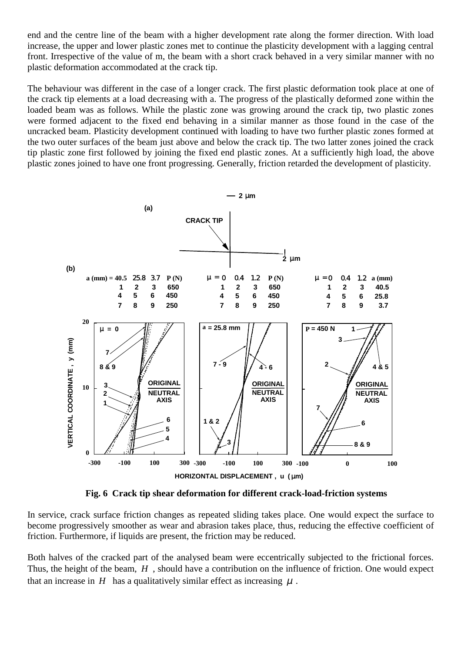end and the centre line of the beam with a higher development rate along the former direction. With load increase, the upper and lower plastic zones met to continue the plasticity development with a lagging central front. Irrespective of the value of m, the beam with a short crack behaved in a very similar manner with no plastic deformation accommodated at the crack tip.

The behaviour was different in the case of a longer crack. The first plastic deformation took place at one of the crack tip elements at a load decreasing with a. The progress of the plastically deformed zone within the loaded beam was as follows. While the plastic zone was growing around the crack tip, two plastic zones were formed adjacent to the fixed end behaving in a similar manner as those found in the case of the uncracked beam. Plasticity development continued with loading to have two further plastic zones formed at the two outer surfaces of the beam just above and below the crack tip. The two latter zones joined the crack tip plastic zone first followed by joining the fixed end plastic zones. At a sufficiently high load, the above plastic zones joined to have one front progressing. Generally, friction retarded the development of plasticity.



 **Fig. 6 Crack tip shear deformation for different crack-load-friction systems**

In service, crack surface friction changes as repeated sliding takes place. One would expect the surface to become progressively smoother as wear and abrasion takes place, thus, reducing the effective coefficient of friction. Furthermore, if liquids are present, the friction may be reduced.

Both halves of the cracked part of the analysed beam were eccentrically subjected to the frictional forces. Thus, the height of the beam, *H* , should have a contribution on the influence of friction. One would expect that an increase in  $H$  has a qualitatively similar effect as increasing  $\mu$ .